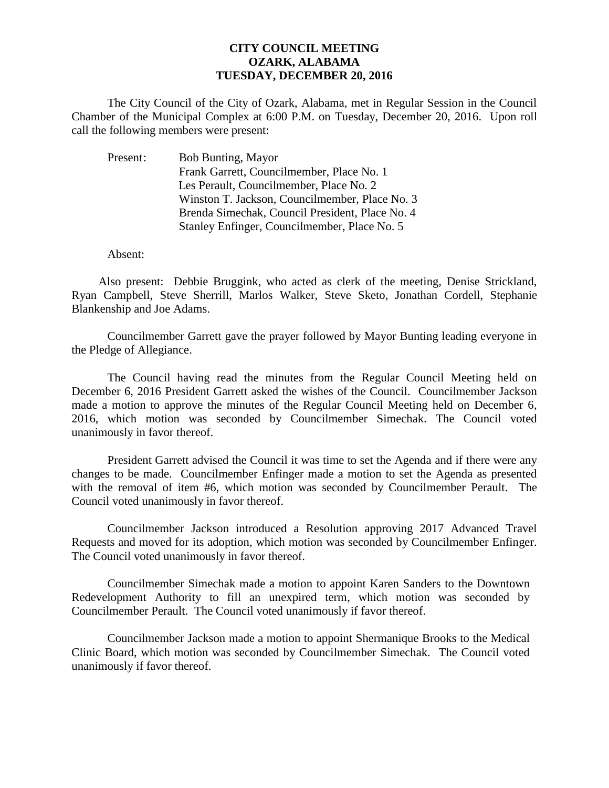## **CITY COUNCIL MEETING OZARK, ALABAMA TUESDAY, DECEMBER 20, 2016**

The City Council of the City of Ozark, Alabama, met in Regular Session in the Council Chamber of the Municipal Complex at 6:00 P.M. on Tuesday, December 20, 2016. Upon roll call the following members were present:

| Present: | <b>Bob Bunting, Mayor</b>                       |
|----------|-------------------------------------------------|
|          | Frank Garrett, Councilmember, Place No. 1       |
|          | Les Perault, Councilmember, Place No. 2         |
|          | Winston T. Jackson, Councilmember, Place No. 3  |
|          | Brenda Simechak, Council President, Place No. 4 |
|          | Stanley Enfinger, Councilmember, Place No. 5    |

Absent:

Also present: Debbie Bruggink, who acted as clerk of the meeting, Denise Strickland, Ryan Campbell, Steve Sherrill, Marlos Walker, Steve Sketo, Jonathan Cordell, Stephanie Blankenship and Joe Adams.

Councilmember Garrett gave the prayer followed by Mayor Bunting leading everyone in the Pledge of Allegiance.

The Council having read the minutes from the Regular Council Meeting held on December 6, 2016 President Garrett asked the wishes of the Council. Councilmember Jackson made a motion to approve the minutes of the Regular Council Meeting held on December 6, 2016, which motion was seconded by Councilmember Simechak. The Council voted unanimously in favor thereof.

President Garrett advised the Council it was time to set the Agenda and if there were any changes to be made. Councilmember Enfinger made a motion to set the Agenda as presented with the removal of item #6, which motion was seconded by Councilmember Perault. The Council voted unanimously in favor thereof.

 Councilmember Jackson introduced a Resolution approving 2017 Advanced Travel Requests and moved for its adoption, which motion was seconded by Councilmember Enfinger. The Council voted unanimously in favor thereof.

Councilmember Simechak made a motion to appoint Karen Sanders to the Downtown Redevelopment Authority to fill an unexpired term, which motion was seconded by Councilmember Perault. The Council voted unanimously if favor thereof.

Councilmember Jackson made a motion to appoint Shermanique Brooks to the Medical Clinic Board, which motion was seconded by Councilmember Simechak. The Council voted unanimously if favor thereof.